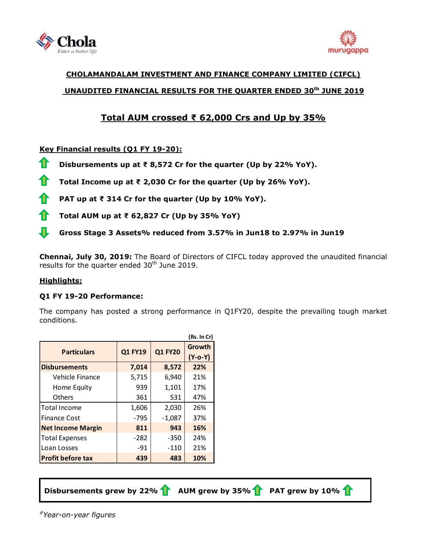



# **CHOLAMANDALAM INVESTMENT AND FINANCE COMPANY LIMITED (CIFCL) UNAUDITED FINANCIAL RESULTS FOR THE QUARTER ENDED 30 th JUNE 2019**

# **Total AUM crossed ₹ 62,000 Crs and Up by 35%**

# **Key Financial results (Q1 FY 19-20):**

**Disbursements up at ₹ 8,572 Cr for the quarter (Up by 22% YoY).**

**Total Income up at ₹ 2,030 Cr for the quarter (Up by 26% YoY).**

**PAT up at ₹ 314 Cr for the quarter (Up by 10% YoY).**

**Total AUM up at ₹ 62,827 Cr (Up by 35% YoY)**

JL **Gross Stage 3 Assets% reduced from 3.57% in Jun18 to 2.97% in Jun19**

**Chennai, July 30, 2019:** The Board of Directors of [CIFCL](http://www.cholamandalam.com/) today approved the unaudited financial results for the quarter ended 30<sup>th</sup> June 2019.

#### **Highlights:**

## **Q1 FY 19-20 Performance:**

The company has posted a strong performance in Q1FY20, despite the prevailing tough market conditions.

|                          |         |                | (Rs. In Cr)       |
|--------------------------|---------|----------------|-------------------|
| <b>Particulars</b>       | Q1 FY19 | <b>Q1 FY20</b> | Growth<br>(Y-o-Y) |
| <b>Disbursements</b>     | 7,014   | 8,572          | 22%               |
| Vehicle Finance          | 5,715   | 6,940          | 21%               |
| Home Equity              | 939     | 1,101          | 17%               |
| <b>Others</b>            | 361     | 531            | 47%               |
| <b>Total Income</b>      | 1,606   | 2,030          | 26%               |
| <b>Finance Cost</b>      | -795    | $-1,087$       | 37%               |
| <b>Net Income Margin</b> | 811     | 943            | 16%               |
| <b>Total Expenses</b>    | $-282$  | $-350$         | 24%               |
| Loan Losses              | $-91$   | $-110$         | 21%               |
| <b>Profit before tax</b> | 439     | 483            | 10%               |

 **Disbursements grew by 22% AUM grew by 35% PAT grew by 10%**

*#Year-on-year figures*

L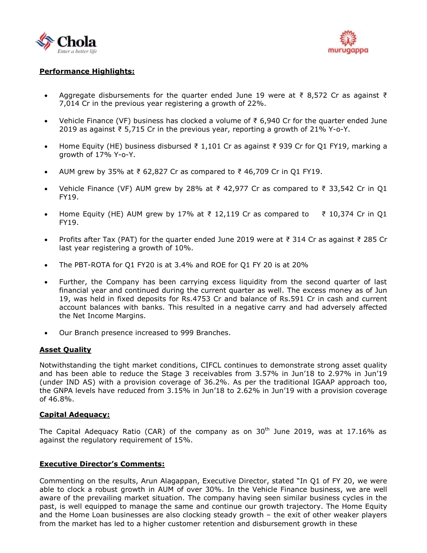



### **Performance Highlights:**

- Aggregate disbursements for the quarter ended June 19 were at  $\bar{\tau}$  8,572 Cr as against  $\bar{\tau}$ 7,014 Cr in the previous year registering a growth of 22%.
- Vehicle Finance (VF) business has clocked a volume of ₹ 6,940 Cr for the quarter ended June 2019 as against ₹ 5,715 Cr in the previous year, reporting a growth of 21% Y-o-Y.
- Home Equity (HE) business disbursed  $\overline{\xi}$  1,101 Cr as against  $\overline{\xi}$  939 Cr for Q1 FY19, marking a growth of 17% Y-o-Y.
- AUM grew by 35% at ₹ 62,827 Cr as compared to ₹ 46,709 Cr in Q1 FY19.
- Vehicle Finance (VF) AUM grew by 28% at  $\bar{\tau}$  42,977 Cr as compared to  $\bar{\tau}$  33,542 Cr in Q1 FY19.
- Home Equity (HE) AUM grew by 17% at  $\overline{\tau}$  12,119 Cr as compared to  $\overline{\tau}$  10,374 Cr in Q1 FY19.
- Profits after Tax (PAT) for the quarter ended June 2019 were at ₹ 314 Cr as against ₹ 285 Cr last year registering a growth of 10%.
- The PBT-ROTA for Q1 FY20 is at 3.4% and ROE for Q1 FY 20 is at 20%
- Further, the Company has been carrying excess liquidity from the second quarter of last financial year and continued during the current quarter as well. The excess money as of Jun 19, was held in fixed deposits for Rs.4753 Cr and balance of Rs.591 Cr in cash and current account balances with banks. This resulted in a negative carry and had adversely affected the Net Income Margins.
- Our Branch presence increased to 999 Branches.

#### **Asset Quality**

Notwithstanding the tight market conditions, CIFCL continues to demonstrate strong asset quality and has been able to reduce the Stage 3 receivables from 3.57% in Jun'18 to 2.97% in Jun'19 (under IND AS) with a provision coverage of 36.2%. As per the traditional IGAAP approach too, the GNPA levels have reduced from 3.15% in Jun'18 to 2.62% in Jun'19 with a provision coverage of 46.8%.

#### **Capital Adequacy:**

The Capital Adequacy Ratio (CAR) of the company as on  $30<sup>th</sup>$  June 2019, was at 17.16% as against the regulatory requirement of 15%.

#### **Executive Director's Comments:**

Commenting on the results, Arun Alagappan, Executive Director, stated "In Q1 of FY 20, we were able to clock a robust growth in AUM of over 30%. In the Vehicle Finance business, we are well aware of the prevailing market situation. The company having seen similar business cycles in the past, is well equipped to manage the same and continue our growth trajectory. The Home Equity and the Home Loan businesses are also clocking steady growth – the exit of other weaker players from the market has led to a higher customer retention and disbursement growth in these